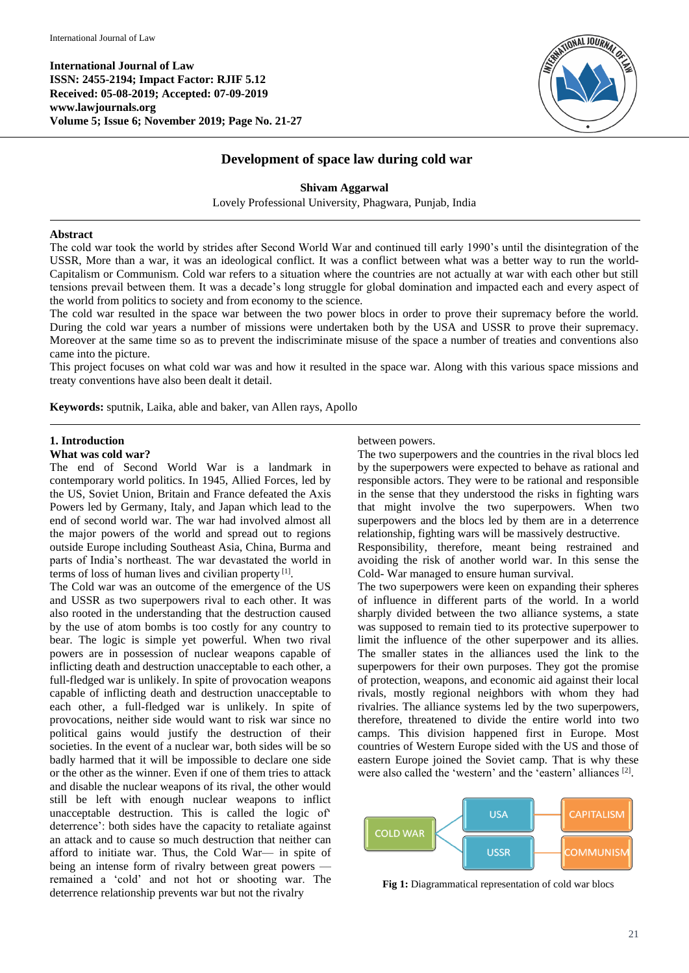**International Journal of Law ISSN: 2455-2194; Impact Factor: RJIF 5.12 Received: 05-08-2019; Accepted: 07-09-2019 www.lawjournals.org Volume 5; Issue 6; November 2019; Page No. 21-27**



# **Development of space law during cold war**

**Shivam Aggarwal** Lovely Professional University, Phagwara, Punjab, India

#### **Abstract**

The cold war took the world by strides after Second World War and continued till early 1990's until the disintegration of the USSR, More than a war, it was an ideological conflict. It was a conflict between what was a better way to run the world-Capitalism or Communism. Cold war refers to a situation where the countries are not actually at war with each other but still tensions prevail between them. It was a decade's long struggle for global domination and impacted each and every aspect of the world from politics to society and from economy to the science.

The cold war resulted in the space war between the two power blocs in order to prove their supremacy before the world. During the cold war years a number of missions were undertaken both by the USA and USSR to prove their supremacy. Moreover at the same time so as to prevent the indiscriminate misuse of the space a number of treaties and conventions also came into the picture.

This project focuses on what cold war was and how it resulted in the space war. Along with this various space missions and treaty conventions have also been dealt it detail.

**Keywords:** sputnik, Laika, able and baker, van Allen rays, Apollo

### **1. Introduction**

#### **What was cold war?**

The end of Second World War is a landmark in contemporary world politics. In 1945, Allied Forces, led by the US, Soviet Union, Britain and France defeated the Axis Powers led by Germany, Italy, and Japan which lead to the end of second world war. The war had involved almost all the major powers of the world and spread out to regions outside Europe including Southeast Asia, China, Burma and parts of India's northeast. The war devastated the world in terms of loss of human lives and civilian property<sup>[1]</sup>.

The Cold war was an outcome of the emergence of the US and USSR as two superpowers rival to each other. It was also rooted in the understanding that the destruction caused by the use of atom bombs is too costly for any country to bear. The logic is simple yet powerful. When two rival powers are in possession of nuclear weapons capable of inflicting death and destruction unacceptable to each other, a full-fledged war is unlikely. In spite of provocation weapons capable of inflicting death and destruction unacceptable to each other, a full-fledged war is unlikely. In spite of provocations, neither side would want to risk war since no political gains would justify the destruction of their societies. In the event of a nuclear war, both sides will be so badly harmed that it will be impossible to declare one side or the other as the winner. Even if one of them tries to attack and disable the nuclear weapons of its rival, the other would still be left with enough nuclear weapons to inflict unacceptable destruction. This is called the logic of' deterrence': both sides have the capacity to retaliate against an attack and to cause so much destruction that neither can afford to initiate war. Thus, the Cold War— in spite of being an intense form of rivalry between great powers remained a 'cold' and not hot or shooting war. The deterrence relationship prevents war but not the rivalry

between powers.

The two superpowers and the countries in the rival blocs led by the superpowers were expected to behave as rational and responsible actors. They were to be rational and responsible in the sense that they understood the risks in fighting wars that might involve the two superpowers. When two superpowers and the blocs led by them are in a deterrence relationship, fighting wars will be massively destructive.

Responsibility, therefore, meant being restrained and avoiding the risk of another world war. In this sense the Cold- War managed to ensure human survival.

The two superpowers were keen on expanding their spheres of influence in different parts of the world. In a world sharply divided between the two alliance systems, a state was supposed to remain tied to its protective superpower to limit the influence of the other superpower and its allies. The smaller states in the alliances used the link to the superpowers for their own purposes. They got the promise of protection, weapons, and economic aid against their local rivals, mostly regional neighbors with whom they had rivalries. The alliance systems led by the two superpowers, therefore, threatened to divide the entire world into two camps. This division happened first in Europe. Most countries of Western Europe sided with the US and those of eastern Europe joined the Soviet camp. That is why these were also called the 'western' and the 'eastern' alliances [2] .



**Fig 1:** Diagrammatical representation of cold war blocs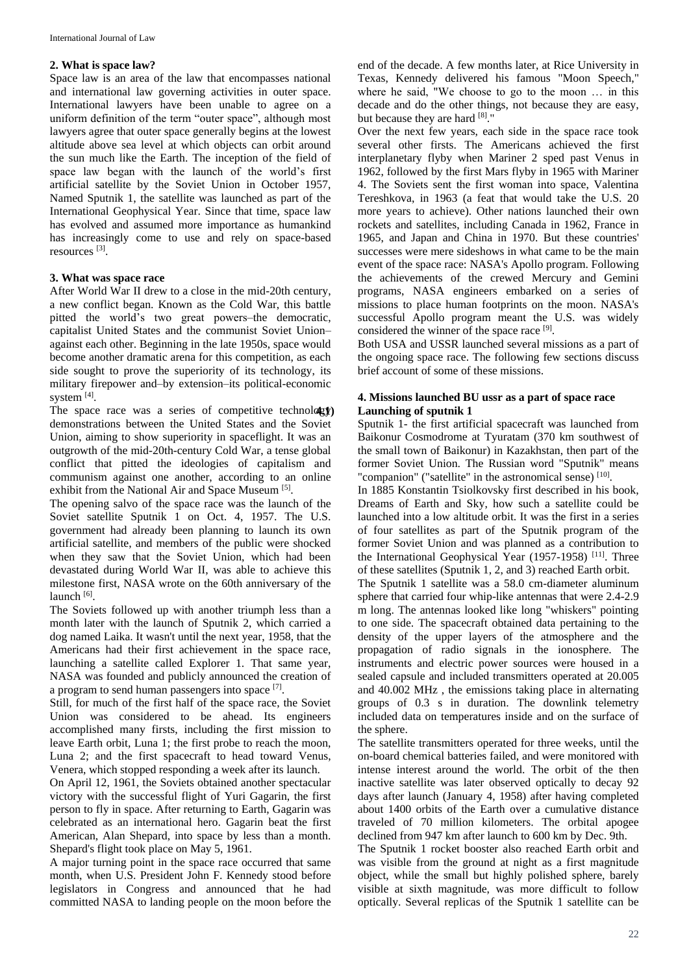#### **2. What is space law?**

Space law is an area of the law that encompasses national and international law governing activities in outer space. International lawyers have been unable to agree on a uniform definition of the term "outer space", although most lawyers agree that outer space generally begins at the lowest altitude above sea level at which objects can orbit around the sun much like the Earth. The inception of the field of space law began with the launch of the world's first artificial satellite by the Soviet Union in October 1957, Named Sputnik 1, the satellite was launched as part of the International Geophysical Year. Since that time, space law has evolved and assumed more importance as humankind has increasingly come to use and rely on space-based resources [3] .

#### **3. What was space race**

After World War II drew to a close in the mid-20th century, a new conflict began. Known as the Cold War, this battle pitted the world's two great powers–the democratic, capitalist United States and the communist Soviet Union– against each other. Beginning in the late 1950s, space would become another dramatic arena for this competition, as each side sought to prove the superiority of its technology, its military firepower and–by extension–its political-economic system [4].

The space race was a series of competitive technology demonstrations between the United States and the Soviet Union, aiming to show superiority in spaceflight. It was an outgrowth of the mid-20th-century Cold War, a tense global conflict that pitted the ideologies of capitalism and communism against one another, according to an online exhibit from the National Air and Space Museum<sup>[5]</sup>.

The opening salvo of the space race was the launch of the Soviet satellite Sputnik 1 on Oct. 4, 1957. The U.S. government had already been planning to launch its own artificial satellite, and members of the public were shocked when they saw that the Soviet Union, which had been devastated during World War II, was able to achieve this milestone first, NASA wrote on the 60th anniversary of the launch [6].

The Soviets followed up with another triumph less than a month later with the launch of Sputnik 2, which carried a dog named Laika. It wasn't until the next year, 1958, that the Americans had their first achievement in the space race, launching a satellite called Explorer 1. That same year, NASA was founded and publicly announced the creation of a program to send human passengers into space [7].

Still, for much of the first half of the space race, the Soviet Union was considered to be ahead. Its engineers accomplished many firsts, including the first mission to leave Earth orbit, Luna 1; the first probe to reach the moon, Luna 2; and the first spacecraft to head toward Venus, Venera, which stopped responding a week after its launch.

On April 12, 1961, the Soviets obtained another spectacular victory with the successful flight of Yuri Gagarin, the first person to fly in space. After returning to Earth, Gagarin was celebrated as an international hero. Gagarin beat the first American, Alan Shepard, into space by less than a month. Shepard's flight took place on May 5, 1961.

A major turning point in the space race occurred that same month, when U.S. President John F. Kennedy stood before legislators in Congress and announced that he had committed NASA to landing people on the moon before the

end of the decade. A few months later, at Rice University in Texas, Kennedy delivered his famous "Moon Speech," where he said, "We choose to go to the moon … in this decade and do the other things, not because they are easy, but because they are hard [8]."

Over the next few years, each side in the space race took several other firsts. The Americans achieved the first interplanetary flyby when Mariner 2 sped past Venus in 1962, followed by the first Mars flyby in 1965 with Mariner 4. The Soviets sent the first woman into space, Valentina Tereshkova, in 1963 (a feat that would take the U.S. 20 more years to achieve). Other nations launched their own rockets and satellites, including Canada in 1962, France in 1965, and Japan and China in 1970. But these countries' successes were mere sideshows in what came to be the main event of the space race: NASA's Apollo program. Following the achievements of the crewed Mercury and Gemini programs, NASA engineers embarked on a series of missions to place human footprints on the moon. NASA's successful Apollo program meant the U.S. was widely considered the winner of the space race [9].

Both USA and USSR launched several missions as a part of the ongoing space race. The following few sections discuss brief account of some of these missions.

#### **4. Missions launched BU ussr as a part of space race 4.1) Launching of sputnik 1**

Sputnik 1- the first artificial spacecraft was launched from Baikonur Cosmodrome at Tyuratam (370 km southwest of the small town of Baikonur) in Kazakhstan, then part of the former Soviet Union. The Russian word "Sputnik" means "companion" ("satellite" in the astronomical sense) [10].

In 1885 Konstantin Tsiolkovsky first described in his book, Dreams of Earth and Sky, how such a satellite could be launched into a low altitude orbit. It was the first in a series of four satellites as part of the Sputnik program of the former Soviet Union and was planned as a contribution to the International Geophysical Year (1957-1958)<sup>[11]</sup>. Three of these satellites (Sputnik 1, 2, and 3) reached Earth orbit.

The Sputnik 1 satellite was a 58.0 cm-diameter aluminum sphere that carried four whip-like antennas that were 2.4-2.9 m long. The antennas looked like long "whiskers" pointing to one side. The spacecraft obtained data pertaining to the density of the upper layers of the atmosphere and the propagation of radio signals in the ionosphere. The instruments and electric power sources were housed in a sealed capsule and included transmitters operated at 20.005 and 40.002 MHz , the emissions taking place in alternating groups of 0.3 s in duration. The downlink telemetry included data on temperatures inside and on the surface of the sphere.

The satellite transmitters operated for three weeks, until the on-board chemical batteries failed, and were monitored with intense interest around the world. The orbit of the then inactive satellite was later observed optically to decay 92 days after launch (January 4, 1958) after having completed about 1400 orbits of the Earth over a cumulative distance traveled of 70 million kilometers. The orbital apogee declined from 947 km after launch to 600 km by Dec. 9th.

The Sputnik 1 rocket booster also reached Earth orbit and was visible from the ground at night as a first magnitude object, while the small but highly polished sphere, barely visible at sixth magnitude, was more difficult to follow optically. Several replicas of the Sputnik 1 satellite can be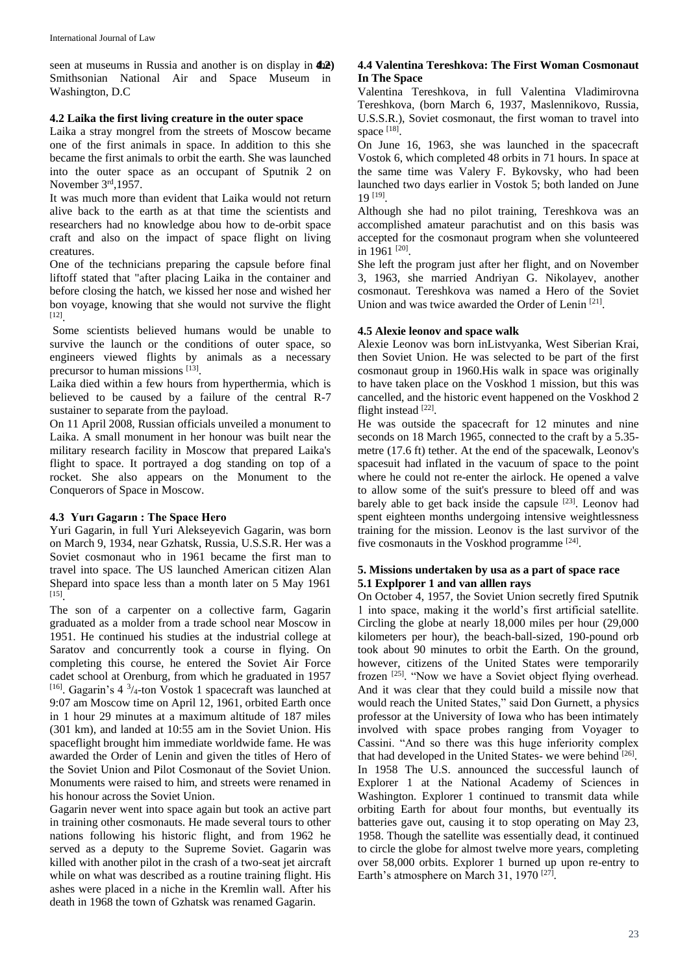seen at museums in Russia and another is on display in  $422$ Smithsonian National Air and Space Museum in Washington, D.C

### **4.2 Laika the first living creature in the outer space**

Laika a stray mongrel from the streets of Moscow became one of the first animals in space. In addition to this she became the first animals to orbit the earth. She was launched into the outer space as an occupant of Sputnik 2 on November 3rd,1957.

It was much more than evident that Laika would not return alive back to the earth as at that time the scientists and researchers had no knowledge abou how to de-orbit space craft and also on the impact of space flight on living creatures.

One of the technicians preparing the capsule before final liftoff stated that "after placing Laika in the container and before closing the hatch, we kissed her nose and wished her bon voyage, knowing that she would not survive the flight [12] .

Some scientists believed humans would be unable to survive the launch or the conditions of outer space, so engineers viewed flights by animals as a necessary precursor to human missions [13].

Laika died within a few hours from hyperthermia, which is believed to be caused by a failure of the central R-7 sustainer to separate from the payload.

On 11 April 2008, Russian officials unveiled a monument to Laika. A small monument in her honour was built near the military research facility in Moscow that prepared Laika's flight to space. It portrayed a dog standing on top of a rocket. She also appears on the Monument to the Conquerors of Space in Moscow.

# **4.3 Yurı Gagarın : The Space Hero**

Yuri Gagarin, in full Yuri Alekseyevich Gagarin, was born on March 9, 1934, near Gzhatsk, Russia, U.S.S.R. Her was a Soviet cosmonaut who in 1961 became the first man to travel into space. The US launched American citizen Alan Shepard into space less than a month later on 5 May 1961 [15] .

The son of a carpenter on a collective farm, Gagarin graduated as a molder from a trade school near Moscow in 1951. He continued his studies at the industrial college at Saratov and concurrently took a course in flying. On completing this course, he entered the Soviet Air Force cadet school at Orenburg, from which he graduated in 1957 <sup>[16]</sup>. Gagarin's 4<sup>3</sup>/<sub>4</sub>-ton Vostok 1 spacecraft was launched at 9:07 am Moscow time on April 12, 1961, orbited Earth once in 1 hour 29 minutes at a maximum altitude of 187 miles (301 km), and landed at 10:55 am in the Soviet Union. His spaceflight brought him immediate worldwide fame. He was awarded the Order of Lenin and given the titles of Hero of the Soviet Union and Pilot Cosmonaut of the Soviet Union. Monuments were raised to him, and streets were renamed in his honour across the Soviet Union.

Gagarin never went into space again but took an active part in training other cosmonauts. He made several tours to other nations following his historic flight, and from 1962 he served as a deputy to the Supreme Soviet. Gagarin was killed with another pilot in the crash of a two-seat jet aircraft while on what was described as a routine training flight. His ashes were placed in a niche in the Kremlin wall. After his death in 1968 the town of Gzhatsk was renamed Gagarin.

# **4.2) 4.4 Valentina Tereshkova: The First Woman Cosmonaut In The Space**

Valentina Tereshkova, in full Valentina Vladimirovna Tereshkova, (born March 6, 1937, Maslennikovo, Russia, U.S.S.R.), Soviet cosmonaut, the first woman to travel into space [18].

On June 16, 1963, she was launched in the spacecraft Vostok 6, which completed 48 orbits in 71 hours. In space at the same time was Valery F. Bykovsky, who had been launched two days earlier in Vostok 5; both landed on June 19 [19] .

Although she had no pilot training, Tereshkova was an accomplished amateur parachutist and on this basis was accepted for the cosmonaut program when she volunteered in 1961<sup>[20]</sup>.

She left the program just after her flight, and on November 3, 1963, she married Andriyan G. Nikolayev, another cosmonaut. Tereshkova was named a Hero of the Soviet Union and was twice awarded the Order of Lenin<sup>[21]</sup>.

# **4.5 Alexie leonov and space walk**

Alexie Leonov was born inListvyanka, West Siberian Krai, then Soviet Union. He was selected to be part of the first cosmonaut group in 1960.His walk in space was originally to have taken place on the Voskhod 1 mission, but this was cancelled, and the historic event happened on the Voskhod 2 flight instead [22].

He was outside the spacecraft for 12 minutes and nine seconds on 18 March 1965, connected to the craft by a 5.35 metre (17.6 ft) tether. At the end of the spacewalk, Leonov's spacesuit had inflated in the vacuum of space to the point where he could not re-enter the airlock. He opened a valve to allow some of the suit's pressure to bleed off and was barely able to get back inside the capsule  $[23]$ . Leonov had spent eighteen months undergoing intensive weightlessness training for the mission. Leonov is the last survivor of the five cosmonauts in the Voskhod programme [24].

# **5. Missions undertaken by usa as a part of space race 5.1 Explporer 1 and van alllen rays**

On October 4, 1957, the Soviet Union secretly fired Sputnik 1 into space, making it the world's first artificial satellite. Circling the globe at nearly 18,000 miles per hour (29,000 kilometers per hour), the beach-ball-sized, 190-pound orb took about 90 minutes to orbit the Earth. On the ground, however, citizens of the United States were temporarily frozen <sup>[25]</sup>. "Now we have a Soviet object flying overhead. And it was clear that they could build a missile now that would reach the United States," said Don Gurnett, a physics professor at the University of Iowa who has been intimately involved with space probes ranging from Voyager to Cassini. "And so there was this huge inferiority complex that had developed in the United States- we were behind [26]. In 1958 The U.S. announced the successful launch of Explorer 1 at the National Academy of Sciences in Washington. Explorer 1 continued to transmit data while orbiting Earth for about four months, but eventually its batteries gave out, causing it to stop operating on May 23, 1958. Though the satellite was essentially dead, it continued to circle the globe for almost twelve more years, completing over 58,000 orbits. Explorer 1 burned up upon re-entry to Earth's atmosphere on March 31, 1970<sup>[27]</sup>.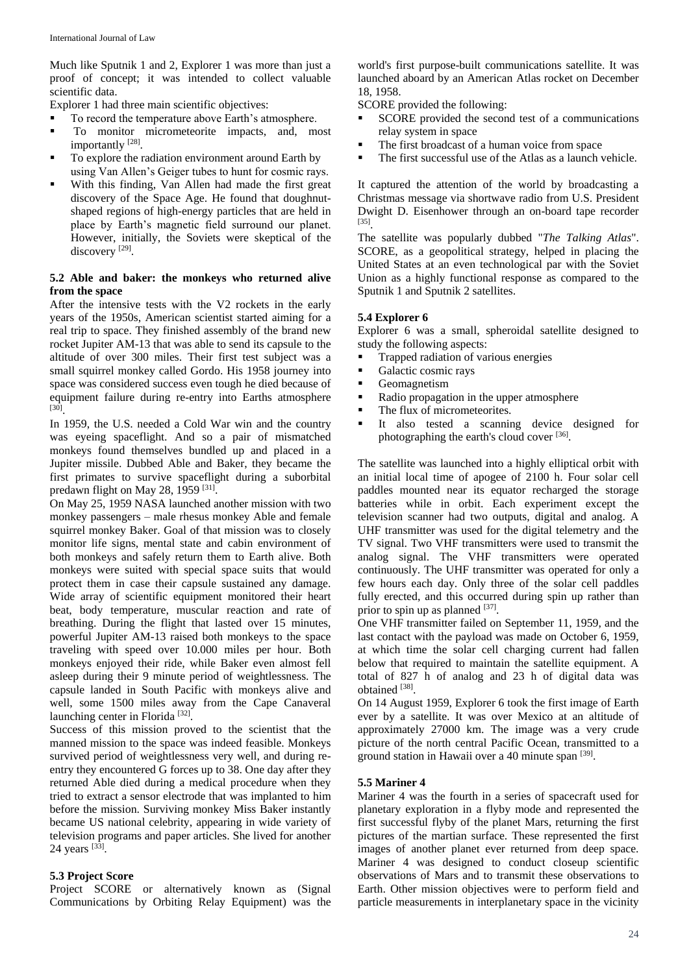Much like Sputnik 1 and 2, Explorer 1 was more than just a proof of concept; it was intended to collect valuable scientific data.

Explorer 1 had three main scientific objectives:

- To record the temperature above Earth's atmosphere.
- $\blacksquare$  To monitor micrometeorite impacts, and, most importantly<sup>[28]</sup>.
- To explore the radiation environment around Earth by using Van Allen's Geiger tubes to hunt for cosmic rays.
- With this finding, Van Allen had made the first great discovery of the Space Age. He found that doughnutshaped regions of high-energy particles that are held in place by Earth's magnetic field surround our planet. However, initially, the Soviets were skeptical of the discovery<sup>[29]</sup>.

#### **5.2 Able and baker: the monkeys who returned alive from the space**

After the intensive tests with the V2 rockets in the early years of the 1950s, American scientist started aiming for a real trip to space. They finished assembly of the brand new rocket Jupiter AM-13 that was able to send its capsule to the altitude of over 300 miles. Their first test subject was a small squirrel monkey called Gordo. His 1958 journey into space was considered success even tough he died because of equipment failure during re-entry into Earths atmosphere [30] .

In 1959, the U.S. needed a Cold War win and the country was eyeing spaceflight. And so a pair of mismatched monkeys found themselves bundled up and placed in a Jupiter missile. Dubbed Able and Baker, they became the first primates to survive spaceflight during a suborbital predawn flight on May 28, 1959  $[31]$ .

On May 25, 1959 NASA launched another mission with two monkey passengers – male rhesus monkey Able and female squirrel monkey Baker. Goal of that mission was to closely monitor life signs, mental state and cabin environment of both monkeys and safely return them to Earth alive. Both monkeys were suited with special space suits that would protect them in case their capsule sustained any damage. Wide array of scientific equipment monitored their heart beat, body temperature, muscular reaction and rate of breathing. During the flight that lasted over 15 minutes, powerful Jupiter AM-13 raised both monkeys to the space traveling with speed over 10.000 miles per hour. Both monkeys enjoyed their ride, while Baker even almost fell asleep during their 9 minute period of weightlessness. The capsule landed in South Pacific with monkeys alive and well, some 1500 miles away from the Cape Canaveral launching center in Florida<sup>[32]</sup>.

Success of this mission proved to the scientist that the manned mission to the space was indeed feasible. Monkeys survived period of weightlessness very well, and during reentry they encountered G forces up to 38. One day after they returned Able died during a medical procedure when they tried to extract a sensor electrode that was implanted to him before the mission. Surviving monkey Miss Baker instantly became US national celebrity, appearing in wide variety of television programs and paper articles. She lived for another 24 years [33].

### **5.3 Project Score**

Project SCORE or alternatively known as (Signal Communications by Orbiting Relay Equipment) was the

world's first purpose-built communications satellite. It was launched aboard by an American Atlas rocket on December 18, 1958.

SCORE provided the following:

- SCORE provided the second test of a communications relay system in space
- The first broadcast of a human voice from space
- The first successful use of the Atlas as a launch vehicle.

It captured the attention of the world by broadcasting a Christmas message via shortwave radio from U.S. President Dwight D. Eisenhower through an on-board tape recorder [35] .

The satellite was popularly dubbed "*The Talking Atlas*". SCORE, as a geopolitical strategy, helped in placing the United States at an even technological par with the Soviet Union as a highly functional response as compared to the Sputnik 1 and Sputnik 2 satellites.

### **5.4 Explorer 6**

Explorer 6 was a small, spheroidal satellite designed to study the following aspects:

- Trapped radiation of various energies
- Galactic cosmic rays
- **Geomagnetism**
- Radio propagation in the upper atmosphere
- The flux of micrometeorites.
- It also tested a scanning device designed for photographing the earth's cloud cover [36].

The satellite was launched into a highly elliptical orbit with an initial local time of apogee of 2100 h. Four solar cell paddles mounted near its equator recharged the storage batteries while in orbit. Each experiment except the television scanner had two outputs, digital and analog. A UHF transmitter was used for the digital telemetry and the TV signal. Two VHF transmitters were used to transmit the analog signal. The VHF transmitters were operated continuously. The UHF transmitter was operated for only a few hours each day. Only three of the solar cell paddles fully erected, and this occurred during spin up rather than prior to spin up as planned  $[37]$ .

One VHF transmitter failed on September 11, 1959, and the last contact with the payload was made on October 6, 1959, at which time the solar cell charging current had fallen below that required to maintain the satellite equipment. A total of 827 h of analog and 23 h of digital data was obtained [38].

On 14 August 1959, Explorer 6 took the first image of Earth ever by a satellite. It was over Mexico at an altitude of approximately 27000 km. The image was a very crude picture of the north central Pacific Ocean, transmitted to a ground station in Hawaii over a 40 minute span [39].

#### **5.5 Mariner 4**

Mariner 4 was the fourth in a series of spacecraft used for planetary exploration in a flyby mode and represented the first successful flyby of the planet Mars, returning the first pictures of the martian surface. These represented the first images of another planet ever returned from deep space. Mariner 4 was designed to conduct closeup scientific observations of Mars and to transmit these observations to Earth. Other mission objectives were to perform field and particle measurements in interplanetary space in the vicinity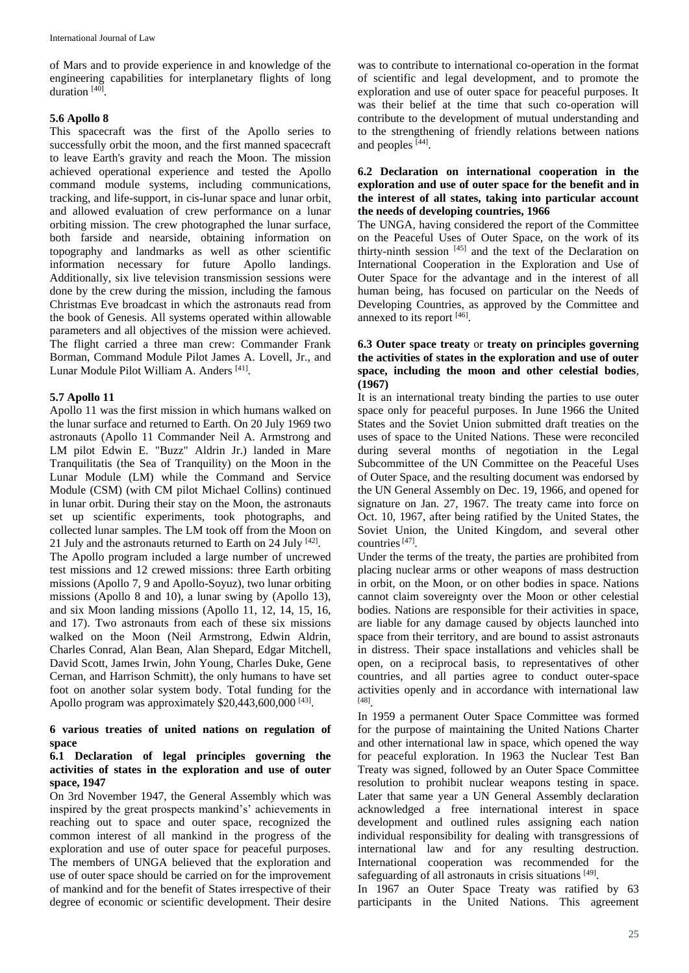of Mars and to provide experience in and knowledge of the engineering capabilities for interplanetary flights of long duration<sup>[40]</sup>.

### **5.6 Apollo 8**

This spacecraft was the first of the Apollo series to successfully orbit the moon, and the first manned spacecraft to leave Earth's gravity and reach the Moon. The mission achieved operational experience and tested the Apollo command module systems, including communications, tracking, and life-support, in cis-lunar space and lunar orbit, and allowed evaluation of crew performance on a lunar orbiting mission. The crew photographed the lunar surface, both farside and nearside, obtaining information on topography and landmarks as well as other scientific information necessary for future Apollo landings. Additionally, six live television transmission sessions were done by the crew during the mission, including the famous Christmas Eve broadcast in which the astronauts read from the book of Genesis. All systems operated within allowable parameters and all objectives of the mission were achieved. The flight carried a three man crew: Commander Frank Borman, Command Module Pilot James A. Lovell, Jr., and Lunar Module Pilot William A. Anders<sup>[41]</sup>.

# **5.7 Apollo 11**

Apollo 11 was the first mission in which humans walked on the lunar surface and returned to Earth. On 20 July 1969 two astronauts (Apollo 11 Commander Neil A. Armstrong and LM pilot Edwin E. "Buzz" Aldrin Jr.) landed in Mare Tranquilitatis (the Sea of Tranquility) on the Moon in the Lunar Module (LM) while the Command and Service Module (CSM) (with CM pilot Michael Collins) continued in lunar orbit. During their stay on the Moon, the astronauts set up scientific experiments, took photographs, and collected lunar samples. The LM took off from the Moon on 21 July and the astronauts returned to Earth on 24 July [42].

The Apollo program included a large number of uncrewed test missions and 12 crewed missions: three Earth orbiting missions (Apollo 7, 9 and Apollo-Soyuz), two lunar orbiting missions (Apollo 8 and 10), a lunar swing by (Apollo 13), and six Moon landing missions (Apollo 11, 12, 14, 15, 16, and 17). Two astronauts from each of these six missions walked on the Moon (Neil Armstrong, Edwin Aldrin, Charles Conrad, Alan Bean, Alan Shepard, Edgar Mitchell, David Scott, James Irwin, John Young, Charles Duke, Gene Cernan, and Harrison Schmitt), the only humans to have set foot on another solar system body. Total funding for the Apollo program was approximately  $$20,443,600,000$ <sup>[43]</sup>.

### **6 various treaties of united nations on regulation of space**

### **6.1 Declaration of legal principles governing the activities of states in the exploration and use of outer space, 1947**

On 3rd November 1947, the General Assembly which was inspired by the great prospects mankind's' achievements in reaching out to space and outer space, recognized the common interest of all mankind in the progress of the exploration and use of outer space for peaceful purposes. The members of UNGA believed that the exploration and use of outer space should be carried on for the improvement of mankind and for the benefit of States irrespective of their degree of economic or scientific development. Their desire

was to contribute to international co-operation in the format of scientific and legal development, and to promote the exploration and use of outer space for peaceful purposes. It was their belief at the time that such co-operation will contribute to the development of mutual understanding and to the strengthening of friendly relations between nations and peoples [44].

#### **6.2 Declaration on international cooperation in the exploration and use of outer space for the benefit and in the interest of all states, taking into particular account the needs of developing countries, 1966**

The UNGA, having considered the report of the Committee on the Peaceful Uses of Outer Space, on the work of its thirty-ninth session [45] and the text of the Declaration on International Cooperation in the Exploration and Use of Outer Space for the advantage and in the interest of all human being, has focused on particular on the Needs of Developing Countries, as approved by the Committee and annexed to its report [46].

### **6.3 Outer space treaty** or **treaty on principles governing the activities of states in the exploration and use of outer space, including the moon and other celestial bodies**, **(1967)**

It is an international treaty binding the parties to use outer space only for peaceful purposes. In June 1966 the United States and the Soviet Union submitted draft treaties on the uses of space to the United Nations. These were reconciled during several months of negotiation in the Legal Subcommittee of the UN Committee on the Peaceful Uses of Outer Space, and the resulting document was endorsed by the UN General Assembly on Dec. 19, 1966, and opened for signature on Jan. 27, 1967. The treaty came into force on Oct. 10, 1967, after being ratified by the United States, the Soviet Union, the United Kingdom, and several other countries<sup>[47]</sup>.

Under the terms of the treaty, the parties are prohibited from placing nuclear arms or other weapons of mass destruction in orbit, on the Moon, or on other bodies in space. Nations cannot claim sovereignty over the Moon or other celestial bodies. Nations are responsible for their activities in space, are liable for any damage caused by objects launched into space from their territory, and are bound to assist astronauts in distress. Their space installations and vehicles shall be open, on a reciprocal basis, to representatives of other countries, and all parties agree to conduct outer-space activities openly and in accordance with international law [48] .

In 1959 a permanent Outer Space Committee was formed for the purpose of maintaining the United Nations Charter and other international law in space, which opened the way for peaceful exploration. In 1963 the Nuclear Test Ban Treaty was signed, followed by an Outer Space Committee resolution to prohibit nuclear weapons testing in space. Later that same year a UN General Assembly declaration acknowledged a free international interest in space development and outlined rules assigning each nation individual responsibility for dealing with transgressions of international law and for any resulting destruction. International cooperation was recommended for the safeguarding of all astronauts in crisis situations [49].

In 1967 an Outer Space Treaty was ratified by 63 participants in the United Nations. This agreement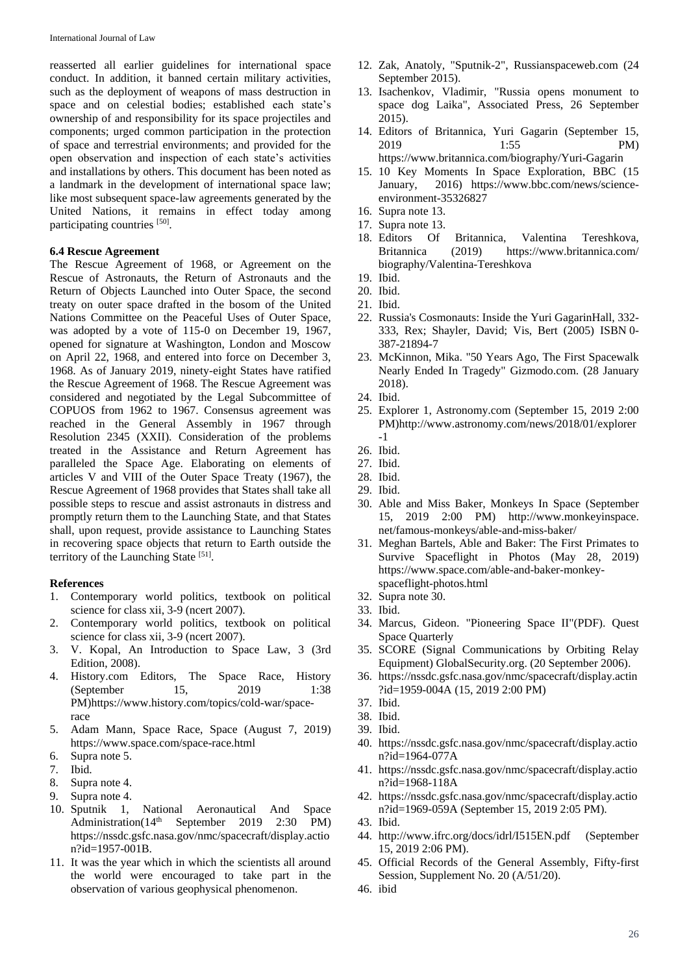reasserted all earlier guidelines for international space conduct. In addition, it banned certain military activities, such as the deployment of weapons of mass destruction in space and on celestial bodies; established each state's ownership of and responsibility for its space projectiles and components; urged common participation in the protection of space and terrestrial environments; and provided for the open observation and inspection of each state's activities and installations by others. This document has been noted as a landmark in the development of international space law; like most subsequent space-law agreements generated by the United Nations, it remains in effect today among participating countries [50].

### **6.4 Rescue Agreement**

The Rescue Agreement of 1968, or Agreement on the Rescue of Astronauts, the Return of Astronauts and the Return of Objects Launched into Outer Space, the second treaty on outer space drafted in the bosom of the United Nations Committee on the Peaceful Uses of Outer Space, was adopted by a vote of 115-0 on December 19, 1967, opened for signature at Washington, London and Moscow on April 22, 1968, and entered into force on December 3, 1968. As of January 2019, ninety-eight States have ratified the Rescue Agreement of 1968. The Rescue Agreement was considered and negotiated by the Legal Subcommittee of COPUOS from 1962 to 1967. Consensus agreement was reached in the General Assembly in 1967 through Resolution 2345 (XXII). Consideration of the problems treated in the Assistance and Return Agreement has paralleled the Space Age. Elaborating on elements of articles V and VIII of the Outer Space Treaty (1967), the Rescue Agreement of 1968 provides that States shall take all possible steps to rescue and assist astronauts in distress and promptly return them to the Launching State, and that States shall, upon request, provide assistance to Launching States in recovering space objects that return to Earth outside the territory of the Launching State [51].

#### **References**

- 1. Contemporary world politics, textbook on political science for class xii, 3-9 (ncert 2007).
- 2. Contemporary world politics, textbook on political science for class xii, 3-9 (ncert 2007).
- 3. V. Kopal, An Introduction to Space Law, 3 (3rd Edition, 2008).
- 4. History.com Editors, The Space Race, History (September 15, 2019 1:38) PM)https://www.history.com/topics/cold-war/spacerace
- 5. Adam Mann, Space Race, Space (August 7, 2019) https://www.space.com/space-race.html
- 6. Supra note 5.
- 7. Ibid.
- 8. Supra note 4.
- 9. Supra note 4.
- 10. Sputnik 1, National Aeronautical And Space<br>Administration (14<sup>th</sup> September 2019 2:30 PM) September 2019 2:30 PM) https://nssdc.gsfc.nasa.gov/nmc/spacecraft/display.actio n?id=1957-001B.
- 11. It was the year which in which the scientists all around the world were encouraged to take part in the observation of various geophysical phenomenon.
- 12. Zak, Anatoly, "Sputnik-2", Russianspaceweb.com (24 September 2015).
- 13. Isachenkov, Vladimir, "Russia opens monument to space dog Laika", Associated Press, 26 September 2015).
- 14. Editors of Britannica, Yuri Gagarin (September 15, 2019 1:55 PM) https://www.britannica.com/biography/Yuri-Gagarin
- 15. 10 Key Moments In Space Exploration, BBC (15 January, 2016) https://www.bbc.com/news/scienceenvironment-35326827
- 16. Supra note 13.
- 17. Supra note 13.
- 18. Editors Of Britannica, Valentina Tereshkova, Britannica (2019) https://www.britannica.com/ biography/Valentina-Tereshkova
- 19. Ibid.
- 20. Ibid.
- 21. Ibid.
- 22. Russia's Cosmonauts: Inside the Yuri GagarinHall, 332- 333, Rex; Shayler, David; Vis, Bert (2005) ISBN 0- 387-21894-7
- 23. McKinnon, Mika. "50 Years Ago, The First Spacewalk Nearly Ended In Tragedy" Gizmodo.com. (28 January 2018).
- 24. Ibid.
- 25. Explorer 1, Astronomy.com (September 15, 2019 2:00 PM)http://www.astronomy.com/news/2018/01/explorer -1
- 26. Ibid.
- 27. Ibid.
- 28. Ibid.
- 29. Ibid.
- 30. Able and Miss Baker, Monkeys In Space (September 15, 2019 2:00 PM) http://www.monkeyinspace. net/famous-monkeys/able-and-miss-baker/
- 31. Meghan Bartels, Able and Baker: The First Primates to Survive Spaceflight in Photos (May 28, 2019) https://www.space.com/able-and-baker-monkeyspaceflight-photos.html
- 32. Supra note 30.
- 33. Ibid.
- 34. Marcus, Gideon. "Pioneering Space II"(PDF). Quest Space Quarterly
- 35. SCORE (Signal Communications by Orbiting Relay Equipment) GlobalSecurity.org. (20 September 2006).
- 36. https://nssdc.gsfc.nasa.gov/nmc/spacecraft/display.actin ?id=1959-004A (15, 2019 2:00 PM)
- 37. Ibid.
- 38. Ibid.
- 39. Ibid.
- 40. https://nssdc.gsfc.nasa.gov/nmc/spacecraft/display.actio n?id=1964-077A
- 41. https://nssdc.gsfc.nasa.gov/nmc/spacecraft/display.actio n?id=1968-118A
- 42. https://nssdc.gsfc.nasa.gov/nmc/spacecraft/display.actio n?id=1969-059A (September 15, 2019 2:05 PM).
- 43. Ibid.
- 44. http://www.ifrc.org/docs/idrl/I515EN.pdf (September 15, 2019 2:06 PM).
- 45. Official Records of the General Assembly, Fifty-first Session, Supplement No. 20 (A/51/20).
- 46. ibid